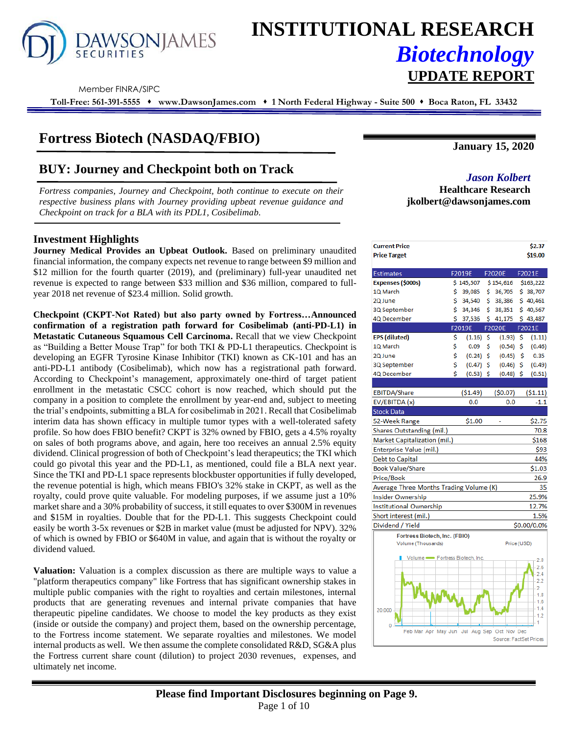

# **INSTITUTIONAL RESEARCH** *Biotechnology* **UPDATE REPORT**

Member FINRA/SIPC

**Toll-Free: 561-391-5555** ⬧ **www.DawsonJames.com** ⬧ **1 North Federal Highway - Suite 500** ⬧ **Boca Raton, FL 33432**

# **Fortress Biotech (NASDAQ/FBIO)**

# **BUY: Journey and Checkpoint both on Track** *Jason Kolbert*

*Fortress companies, Journey and Checkpoint, both continue to execute on their respective business plans with Journey providing upbeat revenue guidance and Checkpoint on track for a BLA with its PDL1, Cosibelimab.*

# **Investment Highlights**

**Journey Medical Provides an Upbeat Outlook.** Based on preliminary unaudited financial information, the company expects net revenue to range between \$9 million and \$12 million for the fourth quarter (2019), and (preliminary) full-year unaudited net revenue is expected to range between \$33 million and \$36 million, compared to fullyear 2018 net revenue of \$23.4 million. Solid growth.

**Checkpoint (CKPT-Not Rated) but also party owned by Fortress…Announced confirmation of a registration path forward for Cosibelimab (anti-PD-L1) in Metastatic Cutaneous Squamous Cell Carcinoma.** Recall that we view Checkpoint as "Building a Better Mouse Trap" for both TKI & PD-L1 therapeutics. Checkpoint is developing an EGFR Tyrosine Kinase Inhibitor (TKI) known as CK-101 and has an anti-PD-L1 antibody (Cosibelimab), which now has a registrational path forward. According to Checkpoint's management, approximately one-third of target patient enrollment in the metastatic CSCC cohort is now reached, which should put the company in a position to complete the enrollment by year-end and, subject to meeting the trial's endpoints, submitting a BLA for cosibelimab in 2021. Recall that Cosibelimab interim data has shown efficacy in multiple tumor types with a well-tolerated safety profile. So how does FBIO benefit? CKPT is 32% owned by FBIO, gets a 4.5% royalty on sales of both programs above, and again, here too receives an annual 2.5% equity dividend. Clinical progression of both of Checkpoint's lead therapeutics; the TKI which could go pivotal this year and the PD-L1, as mentioned, could file a BLA next year. Since the TKI and PD-L1 space represents blockbuster opportunities if fully developed, the revenue potential is high, which means FBIO's 32% stake in CKPT, as well as the royalty, could prove quite valuable. For modeling purposes, if we assume just a 10% market share and a 30% probability of success, it still equates to over \$300M in revenues and \$15M in royalties. Double that for the PD-L1. This suggests Checkpoint could easily be worth 3-5x revenues or \$2B in market value (must be adjusted for NPV). 32% of which is owned by FBIO or \$640M in value, and again that is without the royalty or dividend valued.

**Valuation:** Valuation is a complex discussion as there are multiple ways to value a "platform therapeutics company" like Fortress that has significant ownership stakes in multiple public companies with the right to royalties and certain milestones, internal products that are generating revenues and internal private companies that have therapeutic pipeline candidates. We choose to model the key products as they exist (inside or outside the company) and project them, based on the ownership percentage, to the Fortress income statement. We separate royalties and milestones. We model internal products as well. We then assume the complete consolidated R&D, SG&A plus the Fortress current share count (dilution) to project 2030 revenues, expenses, and ultimately net income.

**January 15, 2020**

# **Healthcare Research jkolbert@dawsonjames.com**

| <b>Current Price</b>                                  |    |             |     |                        |    | \$2.37                        |
|-------------------------------------------------------|----|-------------|-----|------------------------|----|-------------------------------|
| <b>Price Target</b>                                   |    |             |     |                        |    | \$19.00                       |
| <b>Estimates</b>                                      |    | F2019E      |     | F2020E                 |    | F2021E                        |
| Expenses (\$000s)                                     |    | \$145,507   |     | \$154,616              |    | \$163,222                     |
| 1Q March                                              | \$ | 39,085      | \$  | 36,705                 |    | \$38,707                      |
| 2Q June                                               | Ś  | 34,540      | Ś.  | 38,386                 |    | \$40,461                      |
| 3Q September                                          | Ś  | 34,346      | \$. | 38,351                 |    | \$40,567                      |
| 4Q December                                           | \$ | 37,536      | Ś.  | 41,175                 |    | \$43,487                      |
|                                                       |    | F2019E      |     | F2020E                 |    | F2021E                        |
| <b>EPS (diluted)</b>                                  | \$ | $(1.16)$ \$ |     | $(1.93)$ \$            |    | (1.11)                        |
| 1Q March                                              | \$ | 0.09        | \$  | $(0.54)$ \$            |    | (0.46)                        |
| 2Q June                                               | \$ | $(0.24)$ \$ |     | $(0.45)$ \$            |    | 0.35                          |
| 3Q September                                          | \$ | $(0.47)$ \$ |     | (0.46)                 | Ś. | (0.49)                        |
| 4Q December                                           | Ś  | $(0.53)$ \$ |     | $(0.48)$ \$            |    | (0.51)                        |
|                                                       |    |             |     |                        |    |                               |
| EBITDA/Share                                          |    | ( \$1.49)   |     | (\$0.07)               |    | (51.11)                       |
| EV/EBITDA (x)                                         |    | 0.0         |     | 0.0                    |    | $-1.1$                        |
| <b>Stock Data</b>                                     |    |             |     |                        |    |                               |
| 52-Week Range                                         |    | \$1.00      |     |                        |    | \$2.75                        |
| Shares Outstanding (mil.)                             |    |             |     |                        |    | 70.8                          |
| Market Capitalization (mil.)                          |    |             |     |                        |    | \$168                         |
| Enterprise Value (mil.)                               |    |             |     |                        |    | \$93                          |
| <b>Debt to Capital</b>                                |    |             |     |                        |    | 44%                           |
| <b>Book Value/Share</b>                               |    |             |     |                        |    | \$1.03                        |
| Price/Book                                            |    |             |     |                        |    | 26.9                          |
| Average Three Months Trading Volume (K)               |    |             |     |                        |    | 35                            |
| Insider Ownership                                     |    |             |     |                        |    | 25.9%                         |
| <b>Institutional Ownership</b>                        |    |             |     |                        |    | 12.7%                         |
| Short interest (mil.)                                 |    |             |     |                        |    | 1.5%                          |
| Dividend / Yield                                      |    |             |     |                        |    | \$0.00/0.0%                   |
| Fortress Biotech, Inc. (FBIO)                         |    |             |     |                        |    |                               |
| Volume (Thousands)                                    |    |             |     | Price (USD)            |    |                               |
| Volume - Fortress Biotech, Inc.                       |    |             |     |                        |    | 2.8<br>2.6<br>2.4<br>2.2<br>2 |
| 20,000<br>Feb Mar Apr May Jun Jul Aug Sep Oct Nov Dec |    |             |     |                        |    | 18<br>1.6<br>1.4<br>1.2       |
|                                                       |    |             |     | Source: EactSet Drices |    |                               |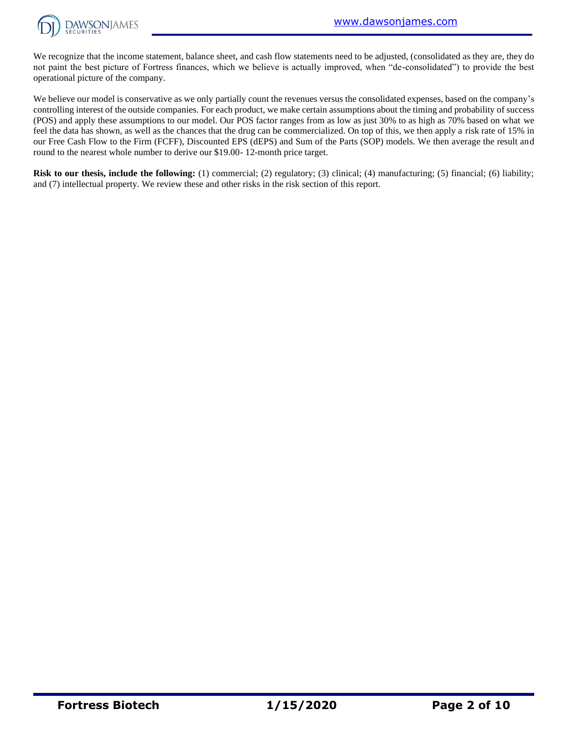

We recognize that the income statement, balance sheet, and cash flow statements need to be adjusted, (consolidated as they are, they do not paint the best picture of Fortress finances, which we believe is actually improved, when "de-consolidated") to provide the best operational picture of the company.

We believe our model is conservative as we only partially count the revenues versus the consolidated expenses, based on the company's controlling interest of the outside companies. For each product, we make certain assumptions about the timing and probability of success (POS) and apply these assumptions to our model. Our POS factor ranges from as low as just 30% to as high as 70% based on what we feel the data has shown, as well as the chances that the drug can be commercialized. On top of this, we then apply a risk rate of 15% in our Free Cash Flow to the Firm (FCFF), Discounted EPS (dEPS) and Sum of the Parts (SOP) models. We then average the result and round to the nearest whole number to derive our \$19.00- 12-month price target.

**Risk to our thesis, include the following:** (1) commercial; (2) regulatory; (3) clinical; (4) manufacturing; (5) financial; (6) liability; and (7) intellectual property. We review these and other risks in the risk section of this report.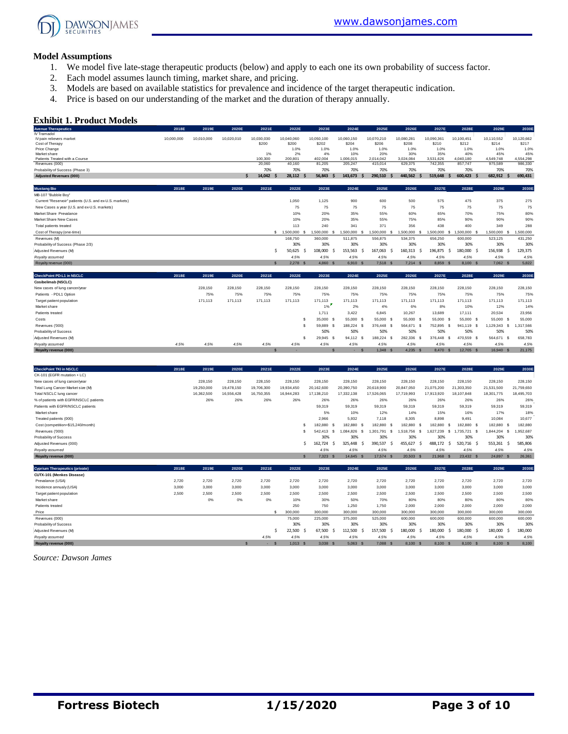

#### **Model Assumptions**

- 1. We model five late-stage therapeutic products (below) and apply to each one its own probability of success factor.
- 2. Each model assumes launch timing, market share, and pricing.
- 3. Models are based on available statistics for prevalence and incidence of the target therapeutic indication.
- 4. Price is based on our understanding of the market and the duration of therapy annually.

#### **Exhibit 1. Product Models**

| IV Tramadol<br>10,000,000<br>10,010,000<br>IV pain relievers market<br>Cost of Therapy<br>Price Change<br>Market share<br>Patients Treated with a Course<br>Revenues (000)<br>Probability of Success (Phase 3)<br>Adjusted Revenues (000)<br><b>Mustang Bio</b><br>2018E<br>MB-107 "Bubble Boy"<br>Current "Reservoir" patients (U.S. and ex-U.S. markets)<br>New Cases a year (U.S. and ex-U.S. markets)<br>Market Share Prevalance<br>Market Share New Cases<br>Total patients treated<br>Cost of Therapy (one-time)<br>Revenues (M)<br>Probability of Success (Phase 2/3)<br>Adjusted Revenues (M)<br>Royalty assumed<br>Royalty revenue (000)<br>CheckPoint PD-L1 in NSCLC<br>2018E<br>Cosibelimab (NSCLC)<br>228,150<br>New cases of lung cancer/year<br>Patients - PDL1 Option<br>Target patient population<br>171,113<br>Market share<br>Patients treated<br>Costs<br>Revenues ('000)<br>Probability of Success<br>Adjusted Revenues (M)<br>Royalty assumed<br>4.5%<br>Royalty revenue (000)<br><b>CheckPoint TKI in NSCLC</b><br>2018E<br>CK-101 (EGFR mutation + LC)<br>228,150<br>New cases of lung cancer/year<br>Total Lung Cancer Market size (M)<br>19,250,000<br>Total NSCLC lung cancer<br>16,362,500<br>% of patients with EGFR/NSCLC patients | 2019E<br>10,020,010<br>2019E<br>2019E<br>228,150<br>75%<br>171,113 | 10,030,030<br>\$200<br>1%<br>100,300<br>20,060<br>70%<br>14,042 \$<br>2020E<br>2021E<br>2020E<br>2021E<br>228,150<br>75%<br>75%<br>171,113 | 10,040,060<br>\$200<br>1.0%<br>2%<br>200,801<br>40,160<br>70%<br>28,112<br>2022E<br>1,050<br>75<br>10%<br>10%<br>113<br>$$1,500,000$ \$<br>168,750<br>30%<br>50.625<br>Ŝ.<br>4.5%<br>2,278<br>2022E<br>228,150<br>75%<br>171,113 | 10,050,100<br>\$202<br>1.0%<br>4%<br>402.004<br>81,205<br>70%<br>56,843<br>.s<br>2023E<br>1,125<br>75<br>20%<br>20%<br>240<br>1,500,000<br>360,000<br>30%<br>108,000<br>-Ŝ<br>4.5%<br>4,860<br>$\mathcal{S}$<br>2023E<br>228,150<br>75% | 10,060,150<br>\$204<br>1.0%<br>1.006.015<br>205,247<br>143,673<br>.s<br>2024E<br>900<br>341<br>1,500,000<br>-S<br>511.875<br>153.563<br>Ŝ<br>4.5%<br>6,910<br>$\mathbf{\hat{s}}$<br>2024E<br>228,150 | 10,070,210<br>\$206<br>1.0%<br>10%<br>20%<br>2.014.042<br>415,014<br>70%<br>70%<br>290,510<br>-S<br>2025E<br>600<br>75<br>75<br>35%<br>55%<br>35%<br>55%<br>371<br>1,500,000 \$<br>-S<br>556,875<br>30%<br>30%<br>167.063<br>Ŝ.<br>4.5%<br>7,518<br><b>S</b><br>2025E | 10,080,281<br>3.024.084<br>-S<br>1,500,000<br>- Ś<br>$\mathbf{s}$ | \$208<br>1.0%<br>30%<br>629,375<br>70%<br>440,562<br>.s<br>2026E<br>500<br>75<br>60%<br>75%<br>356<br>$\mathbf{s}$<br>534,375<br>30%<br>160.313<br>- Ś<br>4.5%<br>$7,214$ \$<br>2026E | 2027E<br>10,090,361<br>\$210<br>1.0%<br>35%<br>3.531.626<br>742,355<br>70%<br>519.648<br>2027E<br>575<br>75<br>65%<br>85%<br>438<br>1,500,000<br>656,250<br>30%<br>196.875<br>4.5%<br>8,859 \$<br>2027E | 10,100,451<br>\$212<br>1.0%<br>40%<br>4,040,180<br>857,747<br>70%<br>\$<br>600,423 \$<br>2028E<br>475<br>75<br>70%<br>90%<br>400<br>$$1,500,000$ \$<br>600.000<br>30%<br>180,000<br>-Ś<br>-Ś<br>4.5%<br>8,100 \$<br>2028E | 10,110,552<br>\$214<br>1.0%<br>45%<br>4.549.748<br>975,589<br>70%<br>682.912<br>Ŝ.<br>2029E<br>375<br>75<br>75%<br>90%<br>349<br>1,500,000 \$<br>523,125<br>30%<br>156.938<br>.s<br>4.5%<br>7,062 \$<br>2029E | 2030E<br>10,120,662<br>\$217<br>1.0%<br>45%<br>4.554.298<br>986,330<br>70%<br>690,431<br>2030E<br>275<br>75<br>80%<br>90%<br>288<br>1,500,000<br>431,250<br>30%<br>129.375<br>4.5%<br>5,822<br>2030E |
|-----------------------------------------------------------------------------------------------------------------------------------------------------------------------------------------------------------------------------------------------------------------------------------------------------------------------------------------------------------------------------------------------------------------------------------------------------------------------------------------------------------------------------------------------------------------------------------------------------------------------------------------------------------------------------------------------------------------------------------------------------------------------------------------------------------------------------------------------------------------------------------------------------------------------------------------------------------------------------------------------------------------------------------------------------------------------------------------------------------------------------------------------------------------------------------------------------------------------------------------------------------------|--------------------------------------------------------------------|--------------------------------------------------------------------------------------------------------------------------------------------|----------------------------------------------------------------------------------------------------------------------------------------------------------------------------------------------------------------------------------|-----------------------------------------------------------------------------------------------------------------------------------------------------------------------------------------------------------------------------------------|------------------------------------------------------------------------------------------------------------------------------------------------------------------------------------------------------|-----------------------------------------------------------------------------------------------------------------------------------------------------------------------------------------------------------------------------------------------------------------------|-------------------------------------------------------------------|---------------------------------------------------------------------------------------------------------------------------------------------------------------------------------------|---------------------------------------------------------------------------------------------------------------------------------------------------------------------------------------------------------|---------------------------------------------------------------------------------------------------------------------------------------------------------------------------------------------------------------------------|---------------------------------------------------------------------------------------------------------------------------------------------------------------------------------------------------------------|------------------------------------------------------------------------------------------------------------------------------------------------------------------------------------------------------|
|                                                                                                                                                                                                                                                                                                                                                                                                                                                                                                                                                                                                                                                                                                                                                                                                                                                                                                                                                                                                                                                                                                                                                                                                                                                                 |                                                                    |                                                                                                                                            |                                                                                                                                                                                                                                  |                                                                                                                                                                                                                                         |                                                                                                                                                                                                      |                                                                                                                                                                                                                                                                       |                                                                   |                                                                                                                                                                                       |                                                                                                                                                                                                         |                                                                                                                                                                                                                           |                                                                                                                                                                                                               |                                                                                                                                                                                                      |
|                                                                                                                                                                                                                                                                                                                                                                                                                                                                                                                                                                                                                                                                                                                                                                                                                                                                                                                                                                                                                                                                                                                                                                                                                                                                 |                                                                    |                                                                                                                                            |                                                                                                                                                                                                                                  |                                                                                                                                                                                                                                         |                                                                                                                                                                                                      |                                                                                                                                                                                                                                                                       |                                                                   |                                                                                                                                                                                       |                                                                                                                                                                                                         |                                                                                                                                                                                                                           |                                                                                                                                                                                                               |                                                                                                                                                                                                      |
|                                                                                                                                                                                                                                                                                                                                                                                                                                                                                                                                                                                                                                                                                                                                                                                                                                                                                                                                                                                                                                                                                                                                                                                                                                                                 |                                                                    |                                                                                                                                            |                                                                                                                                                                                                                                  |                                                                                                                                                                                                                                         |                                                                                                                                                                                                      |                                                                                                                                                                                                                                                                       |                                                                   |                                                                                                                                                                                       |                                                                                                                                                                                                         |                                                                                                                                                                                                                           |                                                                                                                                                                                                               |                                                                                                                                                                                                      |
|                                                                                                                                                                                                                                                                                                                                                                                                                                                                                                                                                                                                                                                                                                                                                                                                                                                                                                                                                                                                                                                                                                                                                                                                                                                                 |                                                                    |                                                                                                                                            |                                                                                                                                                                                                                                  |                                                                                                                                                                                                                                         |                                                                                                                                                                                                      |                                                                                                                                                                                                                                                                       |                                                                   |                                                                                                                                                                                       |                                                                                                                                                                                                         |                                                                                                                                                                                                                           |                                                                                                                                                                                                               |                                                                                                                                                                                                      |
|                                                                                                                                                                                                                                                                                                                                                                                                                                                                                                                                                                                                                                                                                                                                                                                                                                                                                                                                                                                                                                                                                                                                                                                                                                                                 |                                                                    |                                                                                                                                            |                                                                                                                                                                                                                                  |                                                                                                                                                                                                                                         |                                                                                                                                                                                                      |                                                                                                                                                                                                                                                                       |                                                                   |                                                                                                                                                                                       |                                                                                                                                                                                                         |                                                                                                                                                                                                                           |                                                                                                                                                                                                               |                                                                                                                                                                                                      |
|                                                                                                                                                                                                                                                                                                                                                                                                                                                                                                                                                                                                                                                                                                                                                                                                                                                                                                                                                                                                                                                                                                                                                                                                                                                                 |                                                                    |                                                                                                                                            |                                                                                                                                                                                                                                  |                                                                                                                                                                                                                                         |                                                                                                                                                                                                      |                                                                                                                                                                                                                                                                       |                                                                   |                                                                                                                                                                                       |                                                                                                                                                                                                         |                                                                                                                                                                                                                           |                                                                                                                                                                                                               |                                                                                                                                                                                                      |
|                                                                                                                                                                                                                                                                                                                                                                                                                                                                                                                                                                                                                                                                                                                                                                                                                                                                                                                                                                                                                                                                                                                                                                                                                                                                 |                                                                    |                                                                                                                                            |                                                                                                                                                                                                                                  |                                                                                                                                                                                                                                         |                                                                                                                                                                                                      |                                                                                                                                                                                                                                                                       |                                                                   |                                                                                                                                                                                       |                                                                                                                                                                                                         |                                                                                                                                                                                                                           |                                                                                                                                                                                                               |                                                                                                                                                                                                      |
|                                                                                                                                                                                                                                                                                                                                                                                                                                                                                                                                                                                                                                                                                                                                                                                                                                                                                                                                                                                                                                                                                                                                                                                                                                                                 |                                                                    |                                                                                                                                            |                                                                                                                                                                                                                                  |                                                                                                                                                                                                                                         |                                                                                                                                                                                                      |                                                                                                                                                                                                                                                                       |                                                                   |                                                                                                                                                                                       |                                                                                                                                                                                                         |                                                                                                                                                                                                                           |                                                                                                                                                                                                               |                                                                                                                                                                                                      |
|                                                                                                                                                                                                                                                                                                                                                                                                                                                                                                                                                                                                                                                                                                                                                                                                                                                                                                                                                                                                                                                                                                                                                                                                                                                                 |                                                                    |                                                                                                                                            |                                                                                                                                                                                                                                  |                                                                                                                                                                                                                                         |                                                                                                                                                                                                      |                                                                                                                                                                                                                                                                       |                                                                   |                                                                                                                                                                                       |                                                                                                                                                                                                         |                                                                                                                                                                                                                           |                                                                                                                                                                                                               |                                                                                                                                                                                                      |
|                                                                                                                                                                                                                                                                                                                                                                                                                                                                                                                                                                                                                                                                                                                                                                                                                                                                                                                                                                                                                                                                                                                                                                                                                                                                 |                                                                    |                                                                                                                                            |                                                                                                                                                                                                                                  |                                                                                                                                                                                                                                         |                                                                                                                                                                                                      |                                                                                                                                                                                                                                                                       |                                                                   |                                                                                                                                                                                       |                                                                                                                                                                                                         |                                                                                                                                                                                                                           |                                                                                                                                                                                                               |                                                                                                                                                                                                      |
|                                                                                                                                                                                                                                                                                                                                                                                                                                                                                                                                                                                                                                                                                                                                                                                                                                                                                                                                                                                                                                                                                                                                                                                                                                                                 |                                                                    |                                                                                                                                            |                                                                                                                                                                                                                                  |                                                                                                                                                                                                                                         |                                                                                                                                                                                                      |                                                                                                                                                                                                                                                                       |                                                                   |                                                                                                                                                                                       |                                                                                                                                                                                                         |                                                                                                                                                                                                                           |                                                                                                                                                                                                               |                                                                                                                                                                                                      |
|                                                                                                                                                                                                                                                                                                                                                                                                                                                                                                                                                                                                                                                                                                                                                                                                                                                                                                                                                                                                                                                                                                                                                                                                                                                                 |                                                                    |                                                                                                                                            |                                                                                                                                                                                                                                  |                                                                                                                                                                                                                                         |                                                                                                                                                                                                      |                                                                                                                                                                                                                                                                       |                                                                   |                                                                                                                                                                                       |                                                                                                                                                                                                         |                                                                                                                                                                                                                           |                                                                                                                                                                                                               |                                                                                                                                                                                                      |
|                                                                                                                                                                                                                                                                                                                                                                                                                                                                                                                                                                                                                                                                                                                                                                                                                                                                                                                                                                                                                                                                                                                                                                                                                                                                 |                                                                    |                                                                                                                                            |                                                                                                                                                                                                                                  |                                                                                                                                                                                                                                         |                                                                                                                                                                                                      |                                                                                                                                                                                                                                                                       |                                                                   |                                                                                                                                                                                       |                                                                                                                                                                                                         |                                                                                                                                                                                                                           |                                                                                                                                                                                                               |                                                                                                                                                                                                      |
|                                                                                                                                                                                                                                                                                                                                                                                                                                                                                                                                                                                                                                                                                                                                                                                                                                                                                                                                                                                                                                                                                                                                                                                                                                                                 |                                                                    |                                                                                                                                            |                                                                                                                                                                                                                                  |                                                                                                                                                                                                                                         |                                                                                                                                                                                                      |                                                                                                                                                                                                                                                                       |                                                                   |                                                                                                                                                                                       |                                                                                                                                                                                                         |                                                                                                                                                                                                                           |                                                                                                                                                                                                               |                                                                                                                                                                                                      |
|                                                                                                                                                                                                                                                                                                                                                                                                                                                                                                                                                                                                                                                                                                                                                                                                                                                                                                                                                                                                                                                                                                                                                                                                                                                                 |                                                                    |                                                                                                                                            |                                                                                                                                                                                                                                  |                                                                                                                                                                                                                                         |                                                                                                                                                                                                      |                                                                                                                                                                                                                                                                       |                                                                   |                                                                                                                                                                                       |                                                                                                                                                                                                         |                                                                                                                                                                                                                           |                                                                                                                                                                                                               |                                                                                                                                                                                                      |
|                                                                                                                                                                                                                                                                                                                                                                                                                                                                                                                                                                                                                                                                                                                                                                                                                                                                                                                                                                                                                                                                                                                                                                                                                                                                 |                                                                    |                                                                                                                                            |                                                                                                                                                                                                                                  |                                                                                                                                                                                                                                         |                                                                                                                                                                                                      |                                                                                                                                                                                                                                                                       |                                                                   |                                                                                                                                                                                       |                                                                                                                                                                                                         |                                                                                                                                                                                                                           |                                                                                                                                                                                                               |                                                                                                                                                                                                      |
|                                                                                                                                                                                                                                                                                                                                                                                                                                                                                                                                                                                                                                                                                                                                                                                                                                                                                                                                                                                                                                                                                                                                                                                                                                                                 |                                                                    |                                                                                                                                            |                                                                                                                                                                                                                                  |                                                                                                                                                                                                                                         |                                                                                                                                                                                                      |                                                                                                                                                                                                                                                                       |                                                                   |                                                                                                                                                                                       |                                                                                                                                                                                                         |                                                                                                                                                                                                                           |                                                                                                                                                                                                               |                                                                                                                                                                                                      |
|                                                                                                                                                                                                                                                                                                                                                                                                                                                                                                                                                                                                                                                                                                                                                                                                                                                                                                                                                                                                                                                                                                                                                                                                                                                                 |                                                                    |                                                                                                                                            |                                                                                                                                                                                                                                  |                                                                                                                                                                                                                                         |                                                                                                                                                                                                      |                                                                                                                                                                                                                                                                       |                                                                   |                                                                                                                                                                                       |                                                                                                                                                                                                         |                                                                                                                                                                                                                           |                                                                                                                                                                                                               |                                                                                                                                                                                                      |
|                                                                                                                                                                                                                                                                                                                                                                                                                                                                                                                                                                                                                                                                                                                                                                                                                                                                                                                                                                                                                                                                                                                                                                                                                                                                 |                                                                    |                                                                                                                                            |                                                                                                                                                                                                                                  |                                                                                                                                                                                                                                         |                                                                                                                                                                                                      |                                                                                                                                                                                                                                                                       |                                                                   |                                                                                                                                                                                       |                                                                                                                                                                                                         |                                                                                                                                                                                                                           |                                                                                                                                                                                                               |                                                                                                                                                                                                      |
|                                                                                                                                                                                                                                                                                                                                                                                                                                                                                                                                                                                                                                                                                                                                                                                                                                                                                                                                                                                                                                                                                                                                                                                                                                                                 |                                                                    |                                                                                                                                            |                                                                                                                                                                                                                                  |                                                                                                                                                                                                                                         |                                                                                                                                                                                                      |                                                                                                                                                                                                                                                                       |                                                                   |                                                                                                                                                                                       |                                                                                                                                                                                                         |                                                                                                                                                                                                                           |                                                                                                                                                                                                               |                                                                                                                                                                                                      |
|                                                                                                                                                                                                                                                                                                                                                                                                                                                                                                                                                                                                                                                                                                                                                                                                                                                                                                                                                                                                                                                                                                                                                                                                                                                                 |                                                                    |                                                                                                                                            |                                                                                                                                                                                                                                  |                                                                                                                                                                                                                                         |                                                                                                                                                                                                      |                                                                                                                                                                                                                                                                       |                                                                   |                                                                                                                                                                                       |                                                                                                                                                                                                         |                                                                                                                                                                                                                           |                                                                                                                                                                                                               |                                                                                                                                                                                                      |
|                                                                                                                                                                                                                                                                                                                                                                                                                                                                                                                                                                                                                                                                                                                                                                                                                                                                                                                                                                                                                                                                                                                                                                                                                                                                 |                                                                    |                                                                                                                                            |                                                                                                                                                                                                                                  |                                                                                                                                                                                                                                         |                                                                                                                                                                                                      |                                                                                                                                                                                                                                                                       |                                                                   |                                                                                                                                                                                       |                                                                                                                                                                                                         |                                                                                                                                                                                                                           |                                                                                                                                                                                                               |                                                                                                                                                                                                      |
|                                                                                                                                                                                                                                                                                                                                                                                                                                                                                                                                                                                                                                                                                                                                                                                                                                                                                                                                                                                                                                                                                                                                                                                                                                                                 |                                                                    |                                                                                                                                            |                                                                                                                                                                                                                                  |                                                                                                                                                                                                                                         |                                                                                                                                                                                                      |                                                                                                                                                                                                                                                                       |                                                                   |                                                                                                                                                                                       |                                                                                                                                                                                                         |                                                                                                                                                                                                                           |                                                                                                                                                                                                               |                                                                                                                                                                                                      |
|                                                                                                                                                                                                                                                                                                                                                                                                                                                                                                                                                                                                                                                                                                                                                                                                                                                                                                                                                                                                                                                                                                                                                                                                                                                                 |                                                                    |                                                                                                                                            |                                                                                                                                                                                                                                  |                                                                                                                                                                                                                                         |                                                                                                                                                                                                      | 228,150                                                                                                                                                                                                                                                               |                                                                   | 228,150                                                                                                                                                                               | 228,150                                                                                                                                                                                                 | 228,150                                                                                                                                                                                                                   | 228,150                                                                                                                                                                                                       | 228,150                                                                                                                                                                                              |
|                                                                                                                                                                                                                                                                                                                                                                                                                                                                                                                                                                                                                                                                                                                                                                                                                                                                                                                                                                                                                                                                                                                                                                                                                                                                 |                                                                    |                                                                                                                                            |                                                                                                                                                                                                                                  |                                                                                                                                                                                                                                         |                                                                                                                                                                                                      | 75%<br>75%                                                                                                                                                                                                                                                            |                                                                   | 75%                                                                                                                                                                                   | 75%                                                                                                                                                                                                     | 75%                                                                                                                                                                                                                       | 75%                                                                                                                                                                                                           | 75%                                                                                                                                                                                                  |
|                                                                                                                                                                                                                                                                                                                                                                                                                                                                                                                                                                                                                                                                                                                                                                                                                                                                                                                                                                                                                                                                                                                                                                                                                                                                 |                                                                    |                                                                                                                                            |                                                                                                                                                                                                                                  | 171,113                                                                                                                                                                                                                                 | 171,113                                                                                                                                                                                              | 171,113                                                                                                                                                                                                                                                               |                                                                   | 171,113                                                                                                                                                                               | 171,113                                                                                                                                                                                                 | 171,113                                                                                                                                                                                                                   | 171,113                                                                                                                                                                                                       | 171,113                                                                                                                                                                                              |
|                                                                                                                                                                                                                                                                                                                                                                                                                                                                                                                                                                                                                                                                                                                                                                                                                                                                                                                                                                                                                                                                                                                                                                                                                                                                 |                                                                    |                                                                                                                                            |                                                                                                                                                                                                                                  | 1%                                                                                                                                                                                                                                      |                                                                                                                                                                                                      | 2%<br>4%                                                                                                                                                                                                                                                              |                                                                   | 6%                                                                                                                                                                                    | 8%                                                                                                                                                                                                      | 10%                                                                                                                                                                                                                       | 12%                                                                                                                                                                                                           | 14%                                                                                                                                                                                                  |
|                                                                                                                                                                                                                                                                                                                                                                                                                                                                                                                                                                                                                                                                                                                                                                                                                                                                                                                                                                                                                                                                                                                                                                                                                                                                 |                                                                    |                                                                                                                                            |                                                                                                                                                                                                                                  | 1,711                                                                                                                                                                                                                                   | 3,422                                                                                                                                                                                                | 6,845                                                                                                                                                                                                                                                                 |                                                                   | 10,267                                                                                                                                                                                | 13,689                                                                                                                                                                                                  | 17,111                                                                                                                                                                                                                    | 20,534                                                                                                                                                                                                        | 23,956                                                                                                                                                                                               |
|                                                                                                                                                                                                                                                                                                                                                                                                                                                                                                                                                                                                                                                                                                                                                                                                                                                                                                                                                                                                                                                                                                                                                                                                                                                                 |                                                                    |                                                                                                                                            |                                                                                                                                                                                                                                  | \$<br>35,000 \$                                                                                                                                                                                                                         | 55,000                                                                                                                                                                                               | 55,000<br>s                                                                                                                                                                                                                                                           | -S                                                                | 55,000 \$                                                                                                                                                                             | 55,000                                                                                                                                                                                                  | -S<br>55,000 \$                                                                                                                                                                                                           | 55,000<br>s                                                                                                                                                                                                   | 55,000                                                                                                                                                                                               |
|                                                                                                                                                                                                                                                                                                                                                                                                                                                                                                                                                                                                                                                                                                                                                                                                                                                                                                                                                                                                                                                                                                                                                                                                                                                                 |                                                                    |                                                                                                                                            |                                                                                                                                                                                                                                  | 59,889<br>s                                                                                                                                                                                                                             | 188,224<br>-S                                                                                                                                                                                        | 376,448<br>-S                                                                                                                                                                                                                                                         | -S                                                                | 564,671<br>\$                                                                                                                                                                         | 752.895                                                                                                                                                                                                 | 941,119<br>-S<br>-S                                                                                                                                                                                                       | 1,129,343<br>-S                                                                                                                                                                                               | 1,317,566                                                                                                                                                                                            |
|                                                                                                                                                                                                                                                                                                                                                                                                                                                                                                                                                                                                                                                                                                                                                                                                                                                                                                                                                                                                                                                                                                                                                                                                                                                                 |                                                                    |                                                                                                                                            |                                                                                                                                                                                                                                  | 50%                                                                                                                                                                                                                                     |                                                                                                                                                                                                      | 50%<br>50%                                                                                                                                                                                                                                                            |                                                                   | 50%                                                                                                                                                                                   | 50%                                                                                                                                                                                                     | 50%                                                                                                                                                                                                                       | 50%                                                                                                                                                                                                           | 50%                                                                                                                                                                                                  |
|                                                                                                                                                                                                                                                                                                                                                                                                                                                                                                                                                                                                                                                                                                                                                                                                                                                                                                                                                                                                                                                                                                                                                                                                                                                                 |                                                                    |                                                                                                                                            |                                                                                                                                                                                                                                  | 29,945<br>s                                                                                                                                                                                                                             | 94,112<br>$\mathbf{\hat{s}}$                                                                                                                                                                         | 188,224<br><sub>S</sub>                                                                                                                                                                                                                                               | <sub>S</sub>                                                      | 282,336<br>-S                                                                                                                                                                         | 376,448                                                                                                                                                                                                 | 470,559 \$<br>- \$                                                                                                                                                                                                        | 564,671<br>s                                                                                                                                                                                                  | 658,783                                                                                                                                                                                              |
|                                                                                                                                                                                                                                                                                                                                                                                                                                                                                                                                                                                                                                                                                                                                                                                                                                                                                                                                                                                                                                                                                                                                                                                                                                                                 | 4.5%                                                               | 4.5%<br>4.5%                                                                                                                               | 4.5%                                                                                                                                                                                                                             | 4.5%                                                                                                                                                                                                                                    | 4.5%                                                                                                                                                                                                 | 4.5%                                                                                                                                                                                                                                                                  |                                                                   | 4.5%                                                                                                                                                                                  | 4.5%                                                                                                                                                                                                    | 4.5%                                                                                                                                                                                                                      | 4.5%                                                                                                                                                                                                          | 4.5%                                                                                                                                                                                                 |
|                                                                                                                                                                                                                                                                                                                                                                                                                                                                                                                                                                                                                                                                                                                                                                                                                                                                                                                                                                                                                                                                                                                                                                                                                                                                 |                                                                    |                                                                                                                                            |                                                                                                                                                                                                                                  |                                                                                                                                                                                                                                         |                                                                                                                                                                                                      | 1,348<br>S                                                                                                                                                                                                                                                            |                                                                   | 4,235<br>$\mathbf{s}$                                                                                                                                                                 | 8,470 \$                                                                                                                                                                                                | 12,705 \$                                                                                                                                                                                                                 | 16,940<br>s                                                                                                                                                                                                   | 21,175                                                                                                                                                                                               |
|                                                                                                                                                                                                                                                                                                                                                                                                                                                                                                                                                                                                                                                                                                                                                                                                                                                                                                                                                                                                                                                                                                                                                                                                                                                                 |                                                                    |                                                                                                                                            |                                                                                                                                                                                                                                  |                                                                                                                                                                                                                                         |                                                                                                                                                                                                      |                                                                                                                                                                                                                                                                       |                                                                   |                                                                                                                                                                                       |                                                                                                                                                                                                         |                                                                                                                                                                                                                           |                                                                                                                                                                                                               |                                                                                                                                                                                                      |
|                                                                                                                                                                                                                                                                                                                                                                                                                                                                                                                                                                                                                                                                                                                                                                                                                                                                                                                                                                                                                                                                                                                                                                                                                                                                 | 2019E                                                              | 2020E<br>2021E                                                                                                                             | 2022E                                                                                                                                                                                                                            | 2023E                                                                                                                                                                                                                                   | 2024E                                                                                                                                                                                                | 2025E                                                                                                                                                                                                                                                                 |                                                                   | 2026E                                                                                                                                                                                 | 2027E                                                                                                                                                                                                   | 2028E                                                                                                                                                                                                                     | 2029E                                                                                                                                                                                                         | 2030E                                                                                                                                                                                                |
|                                                                                                                                                                                                                                                                                                                                                                                                                                                                                                                                                                                                                                                                                                                                                                                                                                                                                                                                                                                                                                                                                                                                                                                                                                                                 |                                                                    |                                                                                                                                            |                                                                                                                                                                                                                                  |                                                                                                                                                                                                                                         |                                                                                                                                                                                                      |                                                                                                                                                                                                                                                                       |                                                                   |                                                                                                                                                                                       |                                                                                                                                                                                                         |                                                                                                                                                                                                                           |                                                                                                                                                                                                               |                                                                                                                                                                                                      |
|                                                                                                                                                                                                                                                                                                                                                                                                                                                                                                                                                                                                                                                                                                                                                                                                                                                                                                                                                                                                                                                                                                                                                                                                                                                                 | 228,150                                                            | 228,150                                                                                                                                    | 228,150                                                                                                                                                                                                                          | 228,150                                                                                                                                                                                                                                 | 228,150                                                                                                                                                                                              | 228,150                                                                                                                                                                                                                                                               |                                                                   | 228,150                                                                                                                                                                               | 228,150                                                                                                                                                                                                 | 228,150                                                                                                                                                                                                                   | 228,150                                                                                                                                                                                                       | 228,150                                                                                                                                                                                              |
|                                                                                                                                                                                                                                                                                                                                                                                                                                                                                                                                                                                                                                                                                                                                                                                                                                                                                                                                                                                                                                                                                                                                                                                                                                                                 | 19,478,150                                                         | 19,706,300                                                                                                                                 | 19,934,450                                                                                                                                                                                                                       | 20,162,600                                                                                                                                                                                                                              | 20,390,750                                                                                                                                                                                           | 20,618,900                                                                                                                                                                                                                                                            | 20,847,050                                                        |                                                                                                                                                                                       | 21,075,200                                                                                                                                                                                              | 21,303,350                                                                                                                                                                                                                | 21,531,500                                                                                                                                                                                                    | 21,759,650                                                                                                                                                                                           |
|                                                                                                                                                                                                                                                                                                                                                                                                                                                                                                                                                                                                                                                                                                                                                                                                                                                                                                                                                                                                                                                                                                                                                                                                                                                                 | 16,556,428                                                         | 16,750,355                                                                                                                                 | 16,944,283                                                                                                                                                                                                                       | 17,138,210                                                                                                                                                                                                                              | 17,332,138                                                                                                                                                                                           | 17,526,065                                                                                                                                                                                                                                                            | 17,719,993                                                        |                                                                                                                                                                                       | 17,913,920                                                                                                                                                                                              | 18,107,848                                                                                                                                                                                                                | 18,301,775                                                                                                                                                                                                    | 18,495,703                                                                                                                                                                                           |
|                                                                                                                                                                                                                                                                                                                                                                                                                                                                                                                                                                                                                                                                                                                                                                                                                                                                                                                                                                                                                                                                                                                                                                                                                                                                 | 26%                                                                | 26%<br>26%                                                                                                                                 | 26%                                                                                                                                                                                                                              | 26%                                                                                                                                                                                                                                     |                                                                                                                                                                                                      | 26%<br>26%                                                                                                                                                                                                                                                            |                                                                   | 26%                                                                                                                                                                                   | 26%                                                                                                                                                                                                     | 26%                                                                                                                                                                                                                       | 26%                                                                                                                                                                                                           | 26%                                                                                                                                                                                                  |
| Patients with EGFR/NSCLC patients                                                                                                                                                                                                                                                                                                                                                                                                                                                                                                                                                                                                                                                                                                                                                                                                                                                                                                                                                                                                                                                                                                                                                                                                                               |                                                                    |                                                                                                                                            |                                                                                                                                                                                                                                  | 59.319                                                                                                                                                                                                                                  | 59,319                                                                                                                                                                                               | 59.319                                                                                                                                                                                                                                                                |                                                                   | 59,319                                                                                                                                                                                | 59,319                                                                                                                                                                                                  | 59,319                                                                                                                                                                                                                    | 59.319                                                                                                                                                                                                        | 59,319                                                                                                                                                                                               |
| Market share                                                                                                                                                                                                                                                                                                                                                                                                                                                                                                                                                                                                                                                                                                                                                                                                                                                                                                                                                                                                                                                                                                                                                                                                                                                    |                                                                    |                                                                                                                                            |                                                                                                                                                                                                                                  | 5%                                                                                                                                                                                                                                      |                                                                                                                                                                                                      | 10%<br>12%                                                                                                                                                                                                                                                            |                                                                   | 14%                                                                                                                                                                                   | 15%                                                                                                                                                                                                     | 16%                                                                                                                                                                                                                       | 17%                                                                                                                                                                                                           | 18%                                                                                                                                                                                                  |
| Treated patients (000)                                                                                                                                                                                                                                                                                                                                                                                                                                                                                                                                                                                                                                                                                                                                                                                                                                                                                                                                                                                                                                                                                                                                                                                                                                          |                                                                    |                                                                                                                                            |                                                                                                                                                                                                                                  | 2,966                                                                                                                                                                                                                                   | 5,932                                                                                                                                                                                                | 7,118                                                                                                                                                                                                                                                                 |                                                                   | 8,305                                                                                                                                                                                 | 8,898                                                                                                                                                                                                   | 9,491                                                                                                                                                                                                                     | 10,084                                                                                                                                                                                                        | 10,677                                                                                                                                                                                               |
| Cost (competition=\$15,240/month)                                                                                                                                                                                                                                                                                                                                                                                                                                                                                                                                                                                                                                                                                                                                                                                                                                                                                                                                                                                                                                                                                                                                                                                                                               |                                                                    |                                                                                                                                            |                                                                                                                                                                                                                                  | s<br>182,880                                                                                                                                                                                                                            | 182,880<br>-S                                                                                                                                                                                        | 182,880<br>-S                                                                                                                                                                                                                                                         | s                                                                 | 182,880<br>-S                                                                                                                                                                         | 182,880                                                                                                                                                                                                 | \$<br>182,880<br>-S                                                                                                                                                                                                       | 182,880<br>s                                                                                                                                                                                                  | 182,880                                                                                                                                                                                              |
| Revenues ('000)                                                                                                                                                                                                                                                                                                                                                                                                                                                                                                                                                                                                                                                                                                                                                                                                                                                                                                                                                                                                                                                                                                                                                                                                                                                 |                                                                    |                                                                                                                                            |                                                                                                                                                                                                                                  | s<br>542,413                                                                                                                                                                                                                            | $\mathbf{\hat{s}}$<br>1,084,826                                                                                                                                                                      | 1,301,791<br><sub>S</sub>                                                                                                                                                                                                                                             | s<br>1,518,756                                                    | s                                                                                                                                                                                     | 1,627,239                                                                                                                                                                                               | \$<br>1,735,721<br>- \$                                                                                                                                                                                                   | 1,844,204<br>-S                                                                                                                                                                                               | 1,952,687                                                                                                                                                                                            |
| Probability of Success                                                                                                                                                                                                                                                                                                                                                                                                                                                                                                                                                                                                                                                                                                                                                                                                                                                                                                                                                                                                                                                                                                                                                                                                                                          |                                                                    |                                                                                                                                            |                                                                                                                                                                                                                                  | 30%                                                                                                                                                                                                                                     |                                                                                                                                                                                                      | 30%<br>30%                                                                                                                                                                                                                                                            |                                                                   | 30%                                                                                                                                                                                   | 30%                                                                                                                                                                                                     | 30%                                                                                                                                                                                                                       | 30%                                                                                                                                                                                                           | 30%                                                                                                                                                                                                  |
| Adjusted Revenues (000)                                                                                                                                                                                                                                                                                                                                                                                                                                                                                                                                                                                                                                                                                                                                                                                                                                                                                                                                                                                                                                                                                                                                                                                                                                         |                                                                    |                                                                                                                                            |                                                                                                                                                                                                                                  | Ŝ.<br>162,724 \$                                                                                                                                                                                                                        | 325,448                                                                                                                                                                                              | -\$<br>390,537                                                                                                                                                                                                                                                        | -\$                                                               | 455,627<br>-\$                                                                                                                                                                        | 488,172 \$                                                                                                                                                                                              | 520,716 \$                                                                                                                                                                                                                | 553,261<br>\$                                                                                                                                                                                                 | 585,806                                                                                                                                                                                              |
| Royalty assumed                                                                                                                                                                                                                                                                                                                                                                                                                                                                                                                                                                                                                                                                                                                                                                                                                                                                                                                                                                                                                                                                                                                                                                                                                                                 |                                                                    |                                                                                                                                            |                                                                                                                                                                                                                                  | 4.5%                                                                                                                                                                                                                                    | 4.5%                                                                                                                                                                                                 | 4.5%                                                                                                                                                                                                                                                                  |                                                                   | 4.5%                                                                                                                                                                                  | 4.5%                                                                                                                                                                                                    | 4.5%                                                                                                                                                                                                                      | 4.5%                                                                                                                                                                                                          | 4.5%                                                                                                                                                                                                 |
| Royalty revenue (000)                                                                                                                                                                                                                                                                                                                                                                                                                                                                                                                                                                                                                                                                                                                                                                                                                                                                                                                                                                                                                                                                                                                                                                                                                                           |                                                                    |                                                                                                                                            |                                                                                                                                                                                                                                  | $7,323$ \$<br>$\mathbf{s}$                                                                                                                                                                                                              |                                                                                                                                                                                                      |                                                                                                                                                                                                                                                                       |                                                                   | 20,503<br>S                                                                                                                                                                           | 21,968 \$                                                                                                                                                                                               | 23,432 \$                                                                                                                                                                                                                 | 24,897 \$                                                                                                                                                                                                     | 26,361                                                                                                                                                                                               |
|                                                                                                                                                                                                                                                                                                                                                                                                                                                                                                                                                                                                                                                                                                                                                                                                                                                                                                                                                                                                                                                                                                                                                                                                                                                                 |                                                                    |                                                                                                                                            |                                                                                                                                                                                                                                  |                                                                                                                                                                                                                                         |                                                                                                                                                                                                      | 14,645 \$<br>17,574                                                                                                                                                                                                                                                   |                                                                   |                                                                                                                                                                                       |                                                                                                                                                                                                         |                                                                                                                                                                                                                           |                                                                                                                                                                                                               |                                                                                                                                                                                                      |
| 2018E<br><b>Cyprium Therapeutics (private)</b><br>CUTX-101 (Menkes Disease)                                                                                                                                                                                                                                                                                                                                                                                                                                                                                                                                                                                                                                                                                                                                                                                                                                                                                                                                                                                                                                                                                                                                                                                     |                                                                    |                                                                                                                                            |                                                                                                                                                                                                                                  |                                                                                                                                                                                                                                         |                                                                                                                                                                                                      |                                                                                                                                                                                                                                                                       |                                                                   |                                                                                                                                                                                       |                                                                                                                                                                                                         |                                                                                                                                                                                                                           |                                                                                                                                                                                                               |                                                                                                                                                                                                      |
| 2,720<br>2,720<br>Prevalance (USA)                                                                                                                                                                                                                                                                                                                                                                                                                                                                                                                                                                                                                                                                                                                                                                                                                                                                                                                                                                                                                                                                                                                                                                                                                              | 2019E                                                              | 2020E<br>2021E                                                                                                                             | 2022E                                                                                                                                                                                                                            | 2023E                                                                                                                                                                                                                                   | 2024E                                                                                                                                                                                                | 2025E                                                                                                                                                                                                                                                                 |                                                                   | 2026E                                                                                                                                                                                 | 2027E                                                                                                                                                                                                   | 2028E                                                                                                                                                                                                                     | 2029E                                                                                                                                                                                                         | 2030E                                                                                                                                                                                                |

| <i><b>Toyany assumed</b></i>          |       |       |       |       |              | 7.070       | 7.070      | 7.070                 | 7.070          | 7.070     | 7.070      | 7.070     | 7.070   |
|---------------------------------------|-------|-------|-------|-------|--------------|-------------|------------|-----------------------|----------------|-----------|------------|-----------|---------|
| Royalty revenue (000)                 |       |       |       |       |              | 7,323<br>-S | 14,645 S   | 17,574                | 20,503         | 21,968 \$ | 23,432 \$  | 24,897 \$ | 26,361  |
| <b>Cyprium Therapeutics (private)</b> | 2018E | 2019E | 2020E | 2021E | 2022E        | 2023E       | 2024E      | 2025E                 | 2026E          | 2027E     | 2028E      | 2029E     | 2030E   |
| CUTX-101 (Menkes Disease)             |       |       |       |       |              |             |            |                       |                |           |            |           |         |
| Prevalance (USA)                      | 2.720 | 2.720 | 2.720 | 2.720 | 2,720        | 2.720       | 2,720      | 2.720                 | 2.720          | 2.720     | 2.720      | 2.720     | 2.720   |
| Incidence annualy (USA)               | 3,000 | 3,000 | 3,000 | 3,000 | 3,000        | 3.000       | 3,000      | 3,000                 | 3,000          | 3,000     | 3,000      | 3,000     | 3,000   |
| Target patient population             | 2.500 | 2.500 | 2.500 | 2.500 | 2.500        | 2.500       | 2.500      | 2.500                 | 2.500          | 2.500     | 2.500      | 2.500     | 2.500   |
| Market share                          |       | 0%    | 0%    | 0%    | 10%          | 30%         | 50%        | 70%                   | 80%            | 80%       | 80%        | 80%       | 80%     |
| Patients treated                      |       |       |       |       | 250          | 750         | 1.250      | 1.750                 | 2.000          | 2.000     | 2,000      | 2.000     | 2.000   |
| Price                                 |       |       |       |       | 300,000      | 300,000     | 300,000    | 300,000               | 300,000        | 300,000   | 300,000    | 300,000   | 300,000 |
| Revenues (000)                        |       |       |       |       | 75,000       | 225,000     | 375,000    | 525,000               | 600,000        | 600,000   | 600,000    | 600,000   | 600,000 |
| Probability of Success                |       |       |       |       | 30%          | 30%         | 30%        | 30%                   | 30%            | 30%       | 30%        | 30%       | 30%     |
| Adjusted Revenues (M)                 |       |       |       |       | 22,500<br>-5 | 67,500      | 112,500 \$ | 157,500<br>-2         | 180,000<br>- 2 | 180,000   | 180,000 \$ | 180,000   | 180,000 |
| Royalty assumed                       |       |       |       | 4.5%  | 4.5%         | 4.5%        | 4.5%       | 4.5%                  | 4.5%           | 4.5%      | 4.5%       | 4.5%      | 4.5%    |
| Royalty revenue (000)                 |       |       |       |       | $1,013$ \$   | $3,038$ \$  | $5,063$ \$ | 7.088<br>$\mathbf{s}$ | 8,100          | 8,100 \$  | 8,100 \$   | 8,100 \$  | 8,100   |

*Source: Dawson James*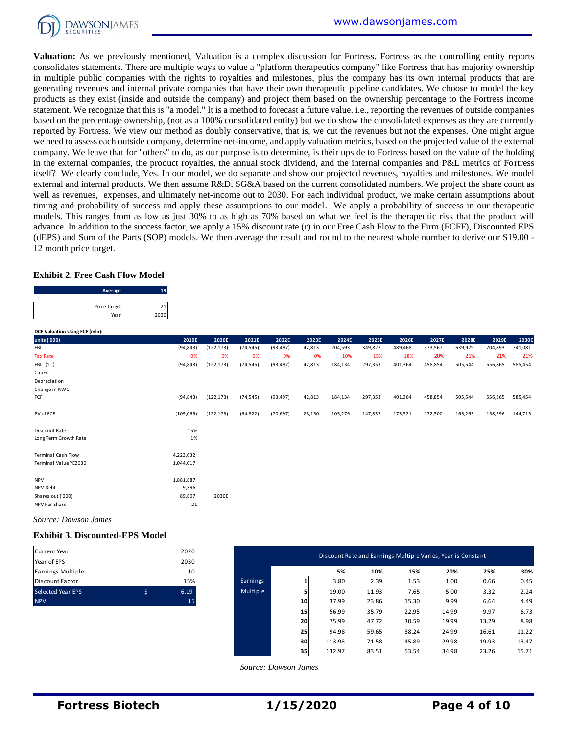

**Valuation:** As we previously mentioned, Valuation is a complex discussion for Fortress. Fortress as the controlling entity reports consolidates statements. There are multiple ways to value a "platform therapeutics company" like Fortress that has majority ownership in multiple public companies with the rights to royalties and milestones, plus the company has its own internal products that are generating revenues and internal private companies that have their own therapeutic pipeline candidates. We choose to model the key products as they exist (inside and outside the company) and project them based on the ownership percentage to the Fortress income statement. We recognize that this is "a model." It is a method to forecast a future value. i.e., reporting the revenues of outside companies based on the percentage ownership, (not as a 100% consolidated entity) but we do show the consolidated expenses as they are currently reported by Fortress. We view our method as doubly conservative, that is, we cut the revenues but not the expenses. One might argue we need to assess each outside company, determine net-income, and apply valuation metrics, based on the projected value of the external company. We leave that for "others" to do, as our purpose is to determine, is their upside to Fortress based on the value of the holding in the external companies, the product royalties, the annual stock dividend, and the internal companies and P&L metrics of Fortress itself? We clearly conclude, Yes. In our model, we do separate and show our projected revenues, royalties and milestones. We model external and internal products. We then assume R&D, SG&A based on the current consolidated numbers. We project the share count as well as revenues, expenses, and ultimately net-income out to 2030. For each individual product, we make certain assumptions about timing and probability of success and apply these assumptions to our model. We apply a probability of success in our therapeutic models. This ranges from as low as just 30% to as high as 70% based on what we feel is the therapeutic risk that the product will advance. In addition to the success factor, we apply a 15% discount rate (r) in our Free Cash Flow to the Firm (FCFF), Discounted EPS (dEPS) and Sum of the Parts (SOP) models. We then average the result and round to the nearest whole number to derive our \$19.00 - 12 month price target.

### **Exhibit 2. Free Cash Flow Model**

| <b>Exhibit 2. Free Cash Flow Model</b> |              |
|----------------------------------------|--------------|
| Average                                | 19           |
| <b>Price Target</b>                    |              |
|                                        | 2020<br>Year |
|                                        |              |

| 12 month price target.                 |              |                      |       |                  |                 |                      |              |                |                                                              |                |                |                |                |                |
|----------------------------------------|--------------|----------------------|-------|------------------|-----------------|----------------------|--------------|----------------|--------------------------------------------------------------|----------------|----------------|----------------|----------------|----------------|
| <b>Exhibit 2. Free Cash Flow Model</b> |              |                      |       |                  |                 |                      |              |                |                                                              |                |                |                |                |                |
|                                        | Average      | 19                   |       |                  |                 |                      |              |                |                                                              |                |                |                |                |                |
|                                        | Price Target | 21                   |       |                  |                 |                      |              |                |                                                              |                |                |                |                |                |
|                                        | Year         | 2020                 |       |                  |                 |                      |              |                |                                                              |                |                |                |                |                |
| DCF Valuation Using FCF (mln):         |              |                      |       |                  |                 |                      |              |                |                                                              |                |                |                |                |                |
| units ('000)                           |              |                      | 2019E | 2020E            | 2021E           | 2022E                | 2023E        | 2024E          | 2025E                                                        | 2026E          | 2027E          | 2028E          | 2029E          | 2030E          |
| EBIT<br><b>Tax Rate</b>                |              | (94, 843)            | 0%    | (122, 173)<br>0% | (74, 545)<br>0% | (93, 497)<br>0%      | 42,813<br>0% | 204,593<br>10% | 349,827<br>15%                                               | 489,468<br>18% | 573,567<br>20% | 639,929<br>21% | 704,893<br>21% | 741,081<br>21% |
| EBIT (1-t)                             |              | (94, 843)            |       | (122, 173)       | (74, 545)       | (93, 497)            | 42,813       | 184,134        | 297,353                                                      | 401,364        | 458,854        | 505,544        | 556,865        | 585,454        |
| CapEx                                  |              |                      |       |                  |                 |                      |              |                |                                                              |                |                |                |                |                |
| Depreciation                           |              |                      |       |                  |                 |                      |              |                |                                                              |                |                |                |                |                |
| Change in NWC                          |              |                      |       |                  |                 |                      |              |                |                                                              |                |                |                |                |                |
| FCF                                    |              | (94, 843)            |       | (122, 173)       | (74, 545)       | (93, 497)            | 42,813       | 184,134        | 297,353                                                      | 401,364        | 458,854        | 505,544        | 556,865        | 585,454        |
| PV of FCF                              |              | (109, 069)           |       | (122, 173)       | (64, 822)       | (70, 697)            | 28,150       | 105,279        | 147,837                                                      | 173,521        | 172,500        | 165,263        | 158,296        | 144,715        |
| Discount Rate                          |              |                      | 15%   |                  |                 |                      |              |                |                                                              |                |                |                |                |                |
| Long Term Growth Rate                  |              |                      | 1%    |                  |                 |                      |              |                |                                                              |                |                |                |                |                |
| <b>Terminal Cash Flow</b>              |              | 4,223,632            |       |                  |                 |                      |              |                |                                                              |                |                |                |                |                |
| Terminal Value YE2030                  |              | 1,044,017            |       |                  |                 |                      |              |                |                                                              |                |                |                |                |                |
| <b>NPV</b>                             |              | 1,881,887            |       |                  |                 |                      |              |                |                                                              |                |                |                |                |                |
| NPV-Debt                               |              | 9,396                |       |                  |                 |                      |              |                |                                                              |                |                |                |                |                |
| Shares out ('000)                      |              | 89,807               |       | 2030E            |                 |                      |              |                |                                                              |                |                |                |                |                |
| NPV Per Share                          |              |                      | 21    |                  |                 |                      |              |                |                                                              |                |                |                |                |                |
| Source: Dawson James                   |              |                      |       |                  |                 |                      |              |                |                                                              |                |                |                |                |                |
| <b>Exhibit 3. Discounted-EPS Model</b> |              |                      |       |                  |                 |                      |              |                |                                                              |                |                |                |                |                |
| <b>Current Year</b>                    |              | 2020                 |       |                  |                 |                      |              |                | Discount Rate and Earnings Multiple Varies, Year is Constant |                |                |                |                |                |
| Year of EPS                            |              | 2030                 |       |                  |                 |                      |              |                |                                                              |                |                |                |                |                |
| Earnings Multiple                      |              |                      | 10    |                  |                 |                      |              | 5%             | 10%                                                          | 15%            |                | 20%            | 25%            | 30%            |
| <b>Discount Factor</b>                 |              | 15%                  |       |                  | Earnings        |                      | 1            | 3.80           | 2.39                                                         | 1.53           |                | 1.00           | 0.66           | 0.45           |
| Selected Year EPS                      |              | $\mathsf{S}$<br>6.19 |       |                  | Multiple        |                      | 5            | 19.00          | 11.93                                                        | 7.65           |                | 5.00           | 3.32           | 2.24           |
| <b>NPV</b>                             |              |                      | 15    |                  |                 |                      | 10           | 37.99          | 23.86                                                        | 15.30          |                | 9.99           | 6.64           | 4.49           |
|                                        |              |                      |       |                  |                 |                      | 15           | 56.99          | 35.79                                                        | 22.95          | 14.99          |                | 9.97           | 6.73           |
|                                        |              |                      |       |                  |                 |                      | 20           | 75.99          | 47.72                                                        | 30.59          | 19.99          |                | 13.29          | 8.98           |
|                                        |              |                      |       |                  |                 |                      | 25           | 94.98          | 59.65                                                        | 38.24          | 24.99          |                | 16.61          | 11.22          |
|                                        |              |                      |       |                  |                 |                      | 30           | 113.98         | 71.58                                                        | 45.89          | 29.98          |                | 19.93          | 13.47          |
|                                        |              |                      |       |                  |                 |                      | 35           | 132.97         | 83.51                                                        | 53.54          | 34.98          |                | 23.26          | 15.71          |
|                                        |              |                      |       |                  |                 |                      |              |                |                                                              |                |                |                |                |                |
|                                        |              |                      |       |                  |                 | Source: Dawson James |              |                |                                                              |                |                |                |                |                |

#### **Exhibit 3. Discounted-EPS Model**

| <b>Current Year</b>      |   | 2020 |
|--------------------------|---|------|
| Year of EPS              |   | 2030 |
| Earnings Multiple        |   | 10   |
| <b>Discount Factor</b>   |   | 15%  |
| <b>Selected Year EPS</b> | ς | 6.19 |
| <b>NPV</b>               |   | 15   |

| Current Year<br>Year of EPS | 2020<br>2030 |          |    | Discount Rate and Earnings Multiple Varies, Year is Constant |       |       |       |       |       |
|-----------------------------|--------------|----------|----|--------------------------------------------------------------|-------|-------|-------|-------|-------|
| Earnings Multiple           | 10           |          |    | 5%                                                           | 10%   | 15%   | 20%   | 25%   | 30%   |
| Discount Factor             | 15%          | Earnings |    | 3.80                                                         | 2.39  | 1.53  | 1.00  | 0.66  | 0.45  |
| Selected Year EPS           | \$<br>6.19   | Multiple |    | 19.00                                                        | 11.93 | 7.65  | 5.00  | 3.32  | 2.24  |
| <b>NPV</b>                  | 15           |          | 10 | 37.99                                                        | 23.86 | 15.30 | 9.99  | 6.64  | 4.49  |
|                             |              |          | 15 | 56.99                                                        | 35.79 | 22.95 | 14.99 | 9.97  | 6.73  |
|                             |              |          | 20 | 75.99                                                        | 47.72 | 30.59 | 19.99 | 13.29 | 8.98  |
|                             |              |          | 25 | 94.98                                                        | 59.65 | 38.24 | 24.99 | 16.61 | 11.22 |
|                             |              |          | 30 | 113.98                                                       | 71.58 | 45.89 | 29.98 | 19.93 | 13.47 |
|                             |              |          | 35 | 132.97                                                       | 83.51 | 53.54 | 34.98 | 23.26 | 15.71 |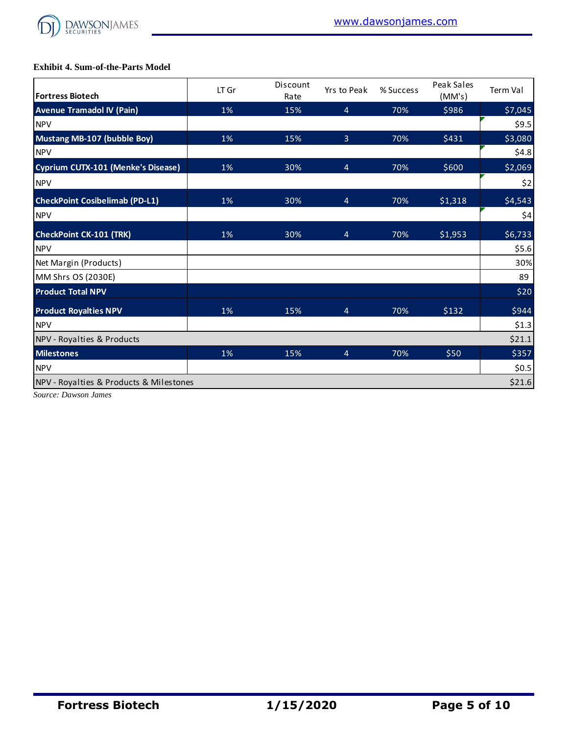

# **Exhibit 4. Sum-of-the-Parts Model**

| <b>Fortress Biotech</b>                 | LT Gr | Discount<br>Rate | Yrs to Peak    | % Success | Peak Sales<br>(MM's) | <b>Term Val</b> |
|-----------------------------------------|-------|------------------|----------------|-----------|----------------------|-----------------|
| <b>Avenue Tramadol IV (Pain)</b>        | 1%    | 15%              | $\overline{4}$ | 70%       | \$986                | \$7,045         |
| <b>NPV</b>                              |       |                  |                |           |                      | \$9.5           |
| <b>Mustang MB-107 (bubble Boy)</b>      | 1%    | 15%              | $\overline{3}$ | 70%       | \$431                | \$3,080         |
| <b>NPV</b>                              |       |                  |                |           |                      | \$4.8           |
| Cyprium CUTX-101 (Menke's Disease)      | 1%    | 30%              | $\overline{4}$ | 70%       | \$600                | \$2,069         |
| <b>NPV</b>                              |       |                  |                |           |                      | \$2             |
| <b>CheckPoint Cosibelimab (PD-L1)</b>   | 1%    | 30%              | 4              | 70%       | \$1,318              | \$4,543         |
| <b>NPV</b>                              |       |                  |                |           |                      | \$4             |
| <b>CheckPoint CK-101 (TRK)</b>          | 1%    | 30%              | $\overline{4}$ | 70%       | \$1,953              | \$6,733         |
| <b>NPV</b>                              |       |                  |                |           |                      | \$5.6           |
| Net Margin (Products)                   |       |                  |                |           |                      | 30%             |
| MM Shrs OS (2030E)                      |       |                  |                |           |                      | 89              |
| <b>Product Total NPV</b>                |       |                  |                |           |                      | \$20            |
| <b>Product Royalties NPV</b>            | 1%    | 15%              | $\overline{4}$ | 70%       | \$132                | \$944           |
| <b>NPV</b>                              |       |                  |                |           |                      | \$1.3           |
| NPV - Royalties & Products              |       |                  |                |           |                      | \$21.1          |
| <b>Milestones</b>                       | 1%    | 15%              | 4              | 70%       | \$50                 | \$357           |
| <b>NPV</b>                              |       |                  |                |           |                      | \$0.5           |
| NPV - Royalties & Products & Milestones |       |                  |                |           |                      | \$21.6          |

*Source: Dawson James*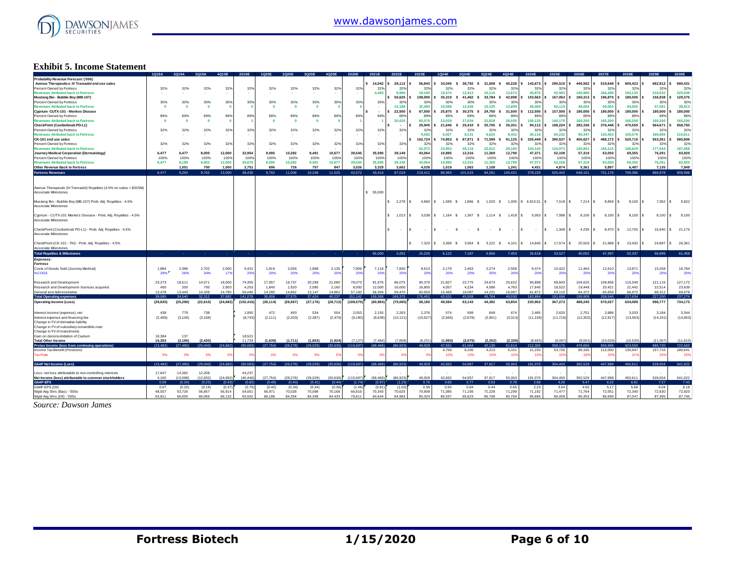

### **Exhibit 5. Income Statement**

|                                                                                             | 1019      |           |               | 4015            |                 |                          |                |           |                 |             |               |                                 |                |                  |                      |                  |               |                                          |                            | 2026E            | 2027E                      | 2028E          |                |                |
|---------------------------------------------------------------------------------------------|-----------|-----------|---------------|-----------------|-----------------|--------------------------|----------------|-----------|-----------------|-------------|---------------|---------------------------------|----------------|------------------|----------------------|------------------|---------------|------------------------------------------|----------------------------|------------------|----------------------------|----------------|----------------|----------------|
| Probability Revenue Forecast: ('000)                                                        |           |           |               |                 |                 |                          |                |           |                 |             |               |                                 |                |                  |                      |                  |               |                                          |                            |                  |                            |                |                |                |
| Avenue Therapeutics: IV Tramadol end use sales                                              |           |           |               |                 |                 |                          |                |           |                 |             | 14,042        | 28,112                          | 56,843<br>١s   | 33,045           | 38,792<br>- S<br>- S | 31,608<br>-S     |               | 40,228 \$ 143,673                        | 290,510                    | 440,562<br>l s   | 519,648                    | 600,423        | 682,912        | 690,431        |
| Percent Owned by Fortress                                                                   | 32%       | 32%       | 32%           | 32%             | 32%             | 32%                      | 32%            | 32%       | 32%             | 329         | 32%           | 329                             | 32%            | 32%              | 32%                  | 32%              | 32%           | 32 <sup>0</sup>                          | 32 <sup>0</sup>            | 32%              | 32                         | 32             | 32             | 32%            |
| <b>Revenues Atributed back to Fortress</b>                                                  |           |           |               |                 |                 |                          |                |           | $\sim$          |             | 4.493         | 8.996                           | 18.190         | 10.574           | 12,413               | 10.115           | 12,873        | 45.975                                   | 92.963                     | 140.980          | 166,288                    | 192.135        | 218,532        | 220,938        |
| Mustang Bio - Bubble Boy (MB-107)<br>Percent Owned by Fortress                              | 30%       | 30%       | 30%           | 30%             |                 | 30%                      | 30%            | 30%       | 30%             | 30%         |               | 50,625<br>309                   | 108,000<br>30% | 35,319<br>30%    | 41,462<br>30%        | 33,784 \$<br>30% | 42,998<br>303 | 153,563<br>30%                           | 167,063<br>30 <sup>6</sup> | 160,313<br>30%   | 196,875<br>30 <sup>6</sup> | 180,000<br>309 | 156,938<br>30% | 129,375<br>30% |
| <b>Revenues Atributed back to Fortress</b>                                                  |           |           | $\Omega$      |                 | 30%             | $\mathbf{0}$             | $\overline{0}$ | n         | n               |             | 30%           | 15,188                          | 32,400         | 10,596           | 12,439               | 10.135           | 12,899        | 46.069                                   | 50.119                     | 48.094           | 59,063                     | 54,000         | 47.081         | 38,813         |
| Cyprium -CUTX-101 - Menkes Disease                                                          |           |           |               |                 |                 |                          |                |           |                 |             | $\sim$        | 22,500                          | 67,500         | 25,875           | 30,375<br>- 5<br>- 5 | 24,750 \$        | 31,500        | 112,500                                  | 157,500                    | 180,000          | 180,000                    | 180,000        | 180,000        | 180,000        |
| Percent Owned by Fortress                                                                   | 89%       | 89%       | 89%           | 89%             | 89%             | 89%                      | 89%            | 89%       | 89%             | 89%         | 89%           | 89                              | 89%            | 89%              | 89%                  | 89%              | 899           | 899                                      | 89                         | 89%              | 89                         | 89%            | 89             | 89%            |
| <b>Revenues Atributed back to Fortress</b>                                                  |           |           | $\Omega$      |                 |                 | $\Omega$                 | $\Omega$       |           |                 |             |               | 20.025                          | 60.075         | 23,029           | 27.034               | 22.028           | 28,035        | 100.125                                  | 140.175                    | 160,200          | 160.200                    | 160.200        | 160,200        | 160,200        |
| CheckPoint (Cosibelimab PD-L1)                                                              |           |           |               |                 |                 |                          |                |           |                 |             |               | $\overline{\phantom{a}}$        | 29,945         | 21.646           | 25,410<br>- 5<br>- 5 | 20,705 \$        | 26,351        | 94.112                                   | 188,224                    | 282,336          | 376,448                    | 470,559        | 564,671        | 658,783        |
| Percent Owned by Fortress                                                                   | 32%       | 32%       | 32%           | 32%             | 32%             | 32%                      | 32%            | 32%       | 32%             | 32%         | 32%           | 32%                             | 32%            | 32%              | 32%                  | 32%              | 32%           | 329                                      | 329                        | 32%              | 32 <sup>0</sup>            | 329            | 32%            | 32%            |
| <b>Revenues Atributed back to Fortress</b>                                                  |           |           |               |                 |                 |                          |                |           |                 |             |               |                                 | 9.582          | 6.927            | 8.131                | 6.625            | 8,432         | 30.116                                   | 60.232                     | 90.347           | 120.463                    | 150,579        | 180.695        | 210,811        |
| CK-101 end use sales                                                                        |           |           |               |                 |                 |                          |                |           |                 |             |               |                                 | 162,724        | 74,853           | 87,871<br>- 5        | 71,599 \$        | 91,125        | 325,448                                  | 390,537                    | 455,627          | 488,172                    | 520,716        | 553,261        | 585,806        |
| Percent Owned by Fortress                                                                   | 32%       | 32%       | 32%           | 32%             | 32%             | 32%                      | 32%            | 32%       | 32%             | 32%         | 32%           | 32%                             | 32%            | 32%              | 32%                  | 32%              | 32%           | 329                                      | 32%                        | 32%              | 32%                        | 32%            | 329            | 32%            |
| Revenues Atributed back to Fortress                                                         |           |           |               |                 |                 |                          |                |           |                 |             |               |                                 | 52,072         | 23,953           | 28,119               | 22,912           | 29,160        | 104.143                                  | 124,972                    | 145,801          | 156,215                    | 166,629        | 177.044        | 187,458        |
| Journey Medical Corporation (Dermatology)                                                   | 6.477     | 6.477     | 8,000         | 12,000          | 32,954          | 9.095                    | 10,282         | 9,491     | 10,677          | 39,545      | 35,590        | 39.149                          | 43,064         | 10.895           | 12.316               | 11,369           | 12,790        | 47,371                                   | 52.108                     | 57,319           | 63.050                     | 69,355         | 76,291         | 83,920         |
| Percent Owned by Fortress                                                                   | 100%      | 100%      | 100%          | 100%            | 100%            | 100%                     | 100%           | 100%      | 100%            | 100%        | 100%          | 100%                            | 100%           | 100%             | 100%                 | 100%             | 100%          | 100%                                     | 100%                       | 100%             | 1003                       | 100%           | 100%           | 100%           |
| <b>Revenues Atributed back to Fortress</b>                                                  | 6,477     | 8,199     | 9,002         | 12,000          | 35,678          | 9,095                    | 10,282         | 9,491     | 10,677          | 39,545      | 35,590        | 39,149                          | 43,064         | 10,895           | 12,316               | 11,369           | 12,790        | 47,371                                   | 52,108                     | 57,319           | 63,050                     | 69,355         | 76,291         | 83,920         |
| Other Revenue Back to Fortress                                                              |           | 1,051     | 700           | 1,000           | 2,751           | 696                      | 726            | 757       | 847             | 3,026       | 3,329         | 3,662                           | 4,028          | 1,019            | 1,063                | 1,108            | 1,241         | 4.431                                    | 4.874                      | 5,361            | 5.897                      | 6.487          | 7,135          | 7,849          |
| <b>Fortress Revenues</b>                                                                    | 6.477     | 9.250     | 9.702         | 13,000          | 38.430          | 9,792                    | 11.008         | 10,248    | 11.525          | 42.572      | 43.414        | 87.019                          | 219,411        | 86,993           | 101,515              | 84,291           | 105.431       | 378.229                                  | 525.442                    | 648.101          | 731,176                    | 799.386        | 866,978        | 909,988        |
|                                                                                             |           |           |               |                 |                 |                          |                |           |                 |             |               |                                 |                |                  |                      |                  |               |                                          |                            |                  |                            |                |                |                |
| Avenue Therapeutic (IV Tramadol) Royalties (4.5% on sales > \$325M)<br>Associate Milestones |           |           |               |                 |                 |                          |                |           |                 |             | \$ 55,000     |                                 |                |                  |                      |                  |               |                                          |                            |                  |                            |                |                |                |
|                                                                                             |           |           |               |                 |                 |                          |                |           |                 |             |               |                                 |                |                  |                      |                  |               |                                          |                            |                  |                            |                |                |                |
| Mustang Bio - Bubble Boy (MB-107) Prob. Adj. Royalties - 4.5%<br>Associate Milestones       |           |           |               |                 |                 |                          |                |           |                 |             |               | $2,278$ \$<br>-S.               | 4,860          | 1,589<br>IS      | 1,866 \$<br>-S       |                  |               | 1,520 \$ 1,935 \$ 6,910.31<br>$\sqrt{2}$ | $7,518$ $\frac{1}{3}$      | $7,214$ \$       | $8,859$ \$                 | 8,100          | 7,062          | 5,822<br>s.    |
| Cyprium - CUTX-101 Menke's Disease - Prob. Adj. Royalties - 4.5%<br>Associate Milestones    |           |           |               |                 |                 |                          |                |           |                 |             |               | $1.013$ S                       | 3,038          | $1,164$ \$<br>IS | 1,367 \$             |                  |               | $1,114$ \$ $1,418$ \$ 5,063<br>s.        | 7,088 \$                   | 8,100            | $8,100$ $\sqrt{5}$         | $8,100$ \$     | 8,100          | 8,100<br>-S    |
| CheckPoint (Cosibelmab PD-L1) - Prob. Adj. Royalties - 4.5%<br>Associate Milestones         |           |           |               |                 |                 |                          |                |           |                 |             |               | -S.<br>$\overline{\phantom{a}}$ |                | $\sim$           | s.<br>- \$           | - \$             |               | Ś.<br>l S<br>$\sim$                      | 1,348                      | 4,235<br>$\sim$  | 8,470 \$<br>s.             | 12,705         | 16,940         | 21,175<br>S.   |
| CheckPoint (CK-101 - TKI) - Prob. Adj. Royalties - 4.5%<br>Associate Milestones             |           |           |               |                 |                 |                          |                |           |                 |             |               |                                 | 7.323          | 3,368 \$         | 3.954 S              |                  |               | 3,222 \$ 4,101 \$ 14,645                 | 17,574                     | 20,503<br>$\sim$ | 21,968                     | 23,432         | 24,897         | 26,361         |
| <b>Total Royalties &amp; Milestones</b>                                                     | - 1       |           | $\sim$ $\sim$ | <b>Contract</b> | <b>Contract</b> | <b><i><u>ALC</u></i></b> |                | <b>.</b>  | <b>Contract</b> | <b>Card</b> | 55,000        | 3,291                           | 15,220         | 6,122            | 7,187                | 5,856            | 7,453         | 26,618                                   | 33,527                     | 40,052           | 47,397                     | 52,337         | 56,999         | 61,458         |
| Expenses:                                                                                   |           |           |               |                 |                 |                          |                |           |                 |             |               |                                 |                |                  |                      |                  |               |                                          |                            |                  |                            |                |                |                |
| <b>Fortress</b>                                                                             |           |           |               |                 |                 |                          |                |           |                 |             |               |                                 |                |                  |                      |                  |               |                                          |                            |                  |                            |                |                |                |
| Costs of Goods Sold (Journey Medical)                                                       | 1.884     | 2,386     | 2,702         | 2,000           | 6,431           | 1.819                    | 2.056          | 1,898     | 2,135           | 7,909       | 7.118         | 7,830                           | 8.613          | 2,179            | 2,463                | 2,274            | 2,558         | 9,474                                    | 10,422                     | 11,464           | 12,610                     | 13,871         | 15,258         | 16,784         |
| %COGS                                                                                       | 29%       | 26%       | 34%           | 17%             | 20%             | 20%                      | 20%            | 20%       | 20%             | 20%         | 20%           | 20%                             | 20%            | 20%              | 20%                  | 20%              | 20%           | 20%                                      | 20%                        | 20%              | 20%                        | 20%            | 20%            | 20%            |
|                                                                                             |           |           |               |                 |                 |                          |                |           |                 |             |               |                                 |                |                  |                      |                  |               |                                          |                            |                  |                            |                |                |                |
| Research and Development                                                                    | 23.273    | 18.511    | 14.571        | 18,000          | 74.355          | 17.957                   | 18.737         | 20.299    | 21,080          | 78.073      | 81.976        | 86,075                          | 90.379         | 21.827           | 22,775               | 24,673           | 25.622        | 94.898                                   | 99.643                     | 104.625          | 109,856                    | 115,349        | 121.116        | 127.172        |
| Research and Development- licenses acquired                                                 | 450       | 200       | 700           | 2,903           | 4,253           | 1.840                    | 1,920          | 2,080     | 2,160           | 8,000       | 12,000        | 16,000                          | 16,800         | 4,057            | 4,234                | 4,586            | 4,763         | 17,640                                   | 18,522                     | 19,448           | 20,421                     | 21,442         | 22,514         | 23,639         |
| General and Administrative                                                                  | 13,478    | 13.443    | 14.339        | 14.780          | 56,040          | 14.290                   | 14.862         | 13.147    | 14.862          | 57.160      | 58,304        | 59,470                          | 60.659         | 15.468           | 16.087               | 14.231           | 16.087        | 61.872                                   | 63.110                     | 64.372           | 65,659                     | 66.972         | 68,312         | 69,678         |
| Total Operating expenses                                                                    | 39.085    | 34,540    | 32,312        | 37.682          | 141 078         | 35.906                   | 37.575         | 37 424    | 40,237          | 151.142     | 159,398       | 169.375                         | 176.451        | 43.531           | 45.559               | 45.764           | 49.030        | 183.884                                  | 191,696                    | 199,909          | 208,546                    | 217,634        | 227,200        | 237,274        |
| <b>Operating Income (Loss)</b>                                                              | (29, 835) | (25, 290) | (22, 610)     | (24, 682)       | (102, 416)      | (26, 114)                | (26, 567)      | (27, 176) | (28, 712)       | (108, 570)  | (60, 984)     | (79.065)                        | 58,180         | 49,584           | 63,143               | 44,382           | 63,854        | 220,963                                  | 367,273                    | 488,245          | 570,027                    | 634,089        | 696,777        | 734,173        |
| Interest income (expense), net                                                              | 438       | 779       | 738           |                 | 1.955           | 472                      | 493            | 534       | 554             | 2.053       | 2.155         | 2.263                           | 2.376          | 574              | 599                  | 649              | 674           | 2.495                                    | 2.620                      | 2.751            | 2888                       | 3.033          | 3.184          | 3.344          |
| Interest expense and financing fee                                                          | (2,469)   | (3, 106)  | (3, 168)      |                 | (8,743)         | (2, 111)                 | (2, 203)       | (2, 387)  | (2, 479)        | (9, 180)    | (9,639)       | (10, 121)                       | (10,627)       | (2, 566)         | (2,678)              | (2,901)          | (3,013)       | (11, 159)                                | (11, 716)                  | (12, 302)        | (12, 917)                  | (13, 563)      | (14, 241)      | (14, 953)      |
| Change in FV of derivative liability                                                        |           |           |               |                 |                 |                          |                |           |                 |             |               |                                 |                |                  |                      |                  |               |                                          |                            |                  |                            |                |                |                |
| Change in FV of subsidiary convertible note                                                 |           |           |               |                 |                 |                          |                |           |                 |             |               |                                 |                |                  |                      |                  |               |                                          |                            |                  |                            |                |                |                |
| Change in FV of investments                                                                 |           |           |               |                 |                 |                          |                |           |                 |             |               |                                 |                |                  |                      |                  |               |                                          |                            |                  |                            |                |                |                |
| Gain on deconsolidation of Caelum                                                           | 18,384    | 137       |               |                 | 18,52'          |                          |                |           |                 |             |               |                                 |                |                  |                      |                  |               |                                          |                            |                  |                            |                |                |                |
| <b>Total Other Income</b>                                                                   | 16.353    | (2.190)   | (2, 430)      |                 | 11.733          | (1.639)                  | (1.711)        | (1.853)   | (1,924)         | (7.127)     | <b>17 484</b> | (7.858)                         | (8.251)        | (1.993)          | (2.079)              | (2.252)          | (2.339)       | (8.663)                                  | (9.097)                    | (9.551)          | (10.029)                   | (10.530)       | (11.057        | (11.610)       |
| Pretax Income (loss from continuing operations)                                             | (13.482)  | (27.480)  | (25.040)      | (24.682)        | (90.683)        | (27.754)                 | (28.278)       | (29.029)  | (30.636)        | (115.697)   | (68.468)      | (86.923)                        | 49.929         | 47.591           | 61.064               | 42.130           | 61.514        | 212,300                                  | 358.176                    | 478.694          | 559,998                    | 623.559        | 685,720        | 722.563        |
| Income Tax Benefit (Provision)                                                              |           |           |               |                 |                 |                          |                |           |                 |             |               |                                 |                | 4,759            | 6,106                | 4,213            | 6,151         | 21,230                                   | 53,726                     | 86,165           | 112,000                    | 130,947        | 157,716        | 180,641        |
| <b>Tax Rate</b>                                                                             | 0%        | 0%        | 0%            | 0%              | 0%              | 0%                       | 0%             | 0%        | - 09            |             |               |                                 | 0%             | 10%              | 10%                  | 10%              | 10%           | 10                                       |                            | 18 <sup>°</sup>  | 20                         | 21             | 23'            | 25             |
|                                                                                             |           |           |               |                 |                 |                          |                |           |                 |             |               |                                 |                |                  |                      |                  |               |                                          |                            |                  |                            |                |                |                |
| <b>GAAP Net Income (Loss)</b>                                                               | (13.482)  | (27.480)  | (25.040)      | (24.682)        | (90.683)        | (27.754)                 | (28.278)       | (29.029)  | (30.636)        | (115, 697)  | (68.468)      | (86,923)                        | 49,929         | 42.832           | 54.957               | 37.917           | 55.363        | 191,070                                  | 304,450                    | 392,529          | 447.998                    | 492,611        | 528,004        | 541.922        |
| Less: net loss attributable to non-controlling interests                                    | 17,647    | 14,382    | 12,208        |                 | 44,237          |                          |                |           |                 |             |               |                                 |                |                  |                      |                  |               |                                          |                            |                  |                            |                |                |                |
| Net Income (loss) attributable to common stockholders                                       | 4.165     | (13.098)  | (12.832)      | (24.682)        | (46.446)        | (27.754)                 | (28.278)       | (29.029)  | (30.636)        | (115.697)   | (68.468)      | (86.923)                        | 49.929         | 42.832           | 54,957               | 37,917           | 55.363        | 191.070                                  | 304.450                    | 392.529          | 447.998                    | 492.611        | 528,004        | 541,922        |
| GAAP-EPS                                                                                    | 0.09      | (0.24)    | (0.23)        | (0.43)          | (0.82)          | (0.49)                   | (0.40)         | (0.41)    | (0.44)          | (1.74)      | (0.97)        | (1.23)                          | 0.70           | 0.60             | 0.77                 | 0.53             | 0.78          | 2.68                                     | 4.26                       | 5.47             | 6.22                       | 6.81           | 7.27           | 7.43           |
| GAAP-EPS (Dil)                                                                              | 0.07      | (0.20)    | (0.19)        | (0.37)          | (0.70)          | (0.42)                   | (0.34)         | (0.34)    | (0.36)          | (1.46)      | (0.81)        | (1.02)                          | 0.59           | 0.50             | 0.64                 | 0.44             | 0.65          | 2.23                                     | 3.54                       | 4.55             | 5.17                       | 5.66           | 6.04           | 6.18           |
| Wgtd Avg Shrs (Bas) - '000s                                                                 | 48,507    | 53,726    | 56,857        | 56,914          | 54,001          | 56,971                   | 70,028         | 70,098    | 70,168          | 66,816      | 70,343        | 70,625                          | 70,908         | 71,085           | 71,156               | 71,228           | 71,299        | 71,192                                   | 71,477                     | 71,764           | 72,051                     | 72,340         | 72,630         | 72,920         |
| Wgtd Avg Shrs (Dil) - '000s                                                                 | 63.811    | 66,000    | 66,066        | 66.132          | 65.502          | 66.198                   | 84.264         | 84.349    | 84.433          | 79.811      | 84.644        | 84.983                          | 85.324         | 85.537           | 85.623               | 85,708           | 85.794        | 85,666                                   | 86,009                     | 86.353           | 86.699                     | 87.047         | 87.395         | 87.745         |

*Source: Dawson James*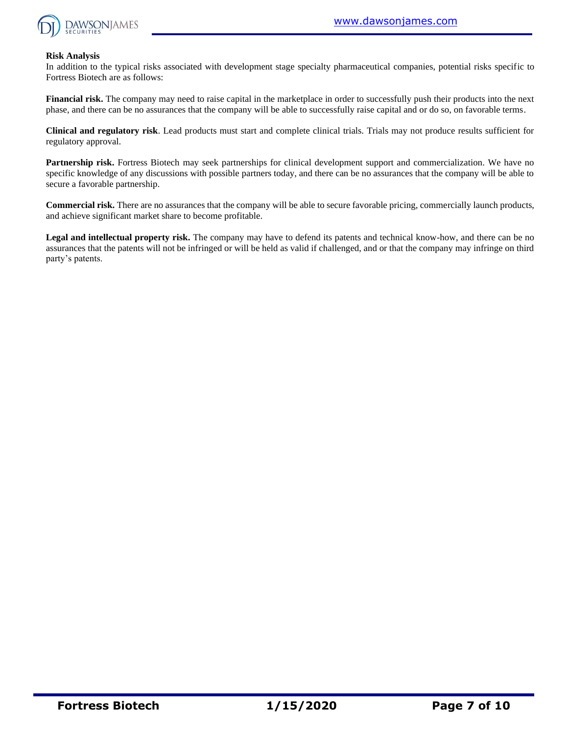

#### **Risk Analysis**

In addition to the typical risks associated with development stage specialty pharmaceutical companies, potential risks specific to Fortress Biotech are as follows:

**Financial risk.** The company may need to raise capital in the marketplace in order to successfully push their products into the next phase, and there can be no assurances that the company will be able to successfully raise capital and or do so, on favorable terms.

**Clinical and regulatory risk**. Lead products must start and complete clinical trials. Trials may not produce results sufficient for regulatory approval.

**Partnership risk.** Fortress Biotech may seek partnerships for clinical development support and commercialization. We have no specific knowledge of any discussions with possible partners today, and there can be no assurances that the company will be able to secure a favorable partnership.

**Commercial risk.** There are no assurances that the company will be able to secure favorable pricing, commercially launch products, and achieve significant market share to become profitable.

**Legal and intellectual property risk.** The company may have to defend its patents and technical know-how, and there can be no assurances that the patents will not be infringed or will be held as valid if challenged, and or that the company may infringe on third party's patents.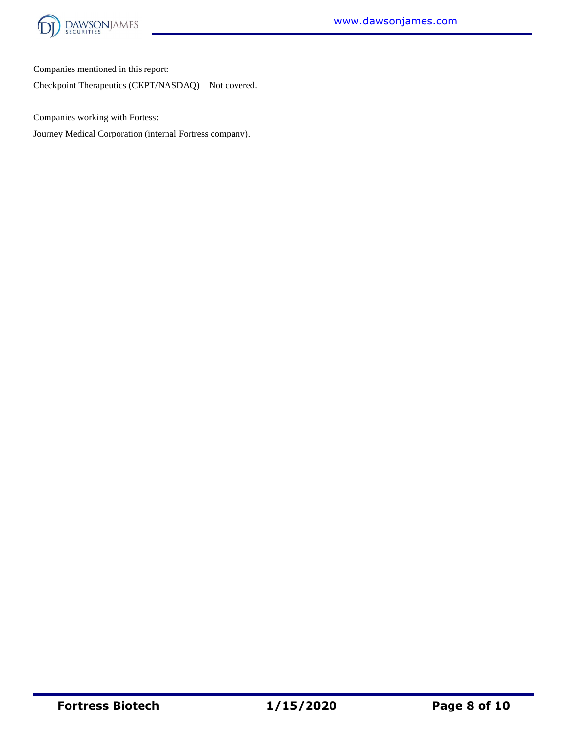

Companies mentioned in this report:

Checkpoint Therapeutics (CKPT/NASDAQ) – Not covered.

Companies working with Fortess:

Journey Medical Corporation (internal Fortress company).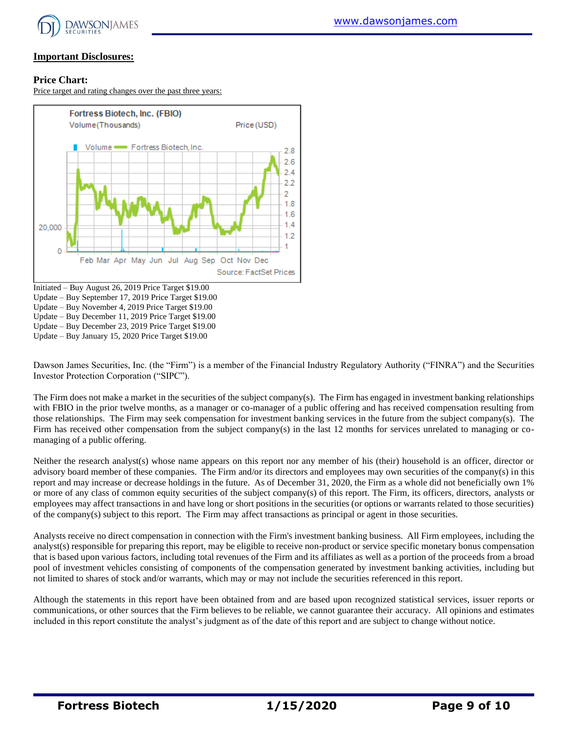

# **Important Disclosures:**

### **Price Chart:**

Price target and rating changes over the past three years:



Update – Buy November 4, 2019 Price Target \$19.00

Update – Buy December 11, 2019 Price Target \$19.00

Update – Buy December 23, 2019 Price Target \$19.00

Update – Buy January 15, 2020 Price Target \$19.00

Dawson James Securities, Inc. (the "Firm") is a member of the Financial Industry Regulatory Authority ("FINRA") and the Securities Investor Protection Corporation ("SIPC").

The Firm does not make a market in the securities of the subject company(s). The Firm has engaged in investment banking relationships with FBIO in the prior twelve months, as a manager or co-manager of a public offering and has received compensation resulting from those relationships. The Firm may seek compensation for investment banking services in the future from the subject company(s). The Firm has received other compensation from the subject company(s) in the last 12 months for services unrelated to managing or comanaging of a public offering.

Neither the research analyst(s) whose name appears on this report nor any member of his (their) household is an officer, director or advisory board member of these companies. The Firm and/or its directors and employees may own securities of the company(s) in this report and may increase or decrease holdings in the future. As of December 31, 2020, the Firm as a whole did not beneficially own 1% or more of any class of common equity securities of the subject company(s) of this report. The Firm, its officers, directors, analysts or employees may affect transactions in and have long or short positions in the securities (or options or warrants related to those securities) of the company(s) subject to this report. The Firm may affect transactions as principal or agent in those securities.

Analysts receive no direct compensation in connection with the Firm's investment banking business. All Firm employees, including the analyst(s) responsible for preparing this report, may be eligible to receive non-product or service specific monetary bonus compensation that is based upon various factors, including total revenues of the Firm and its affiliates as well as a portion of the proceeds from a broad pool of investment vehicles consisting of components of the compensation generated by investment banking activities, including but not limited to shares of stock and/or warrants, which may or may not include the securities referenced in this report.

Although the statements in this report have been obtained from and are based upon recognized statistical services, issuer reports or communications, or other sources that the Firm believes to be reliable, we cannot guarantee their accuracy. All opinions and estimates included in this report constitute the analyst's judgment as of the date of this report and are subject to change without notice.